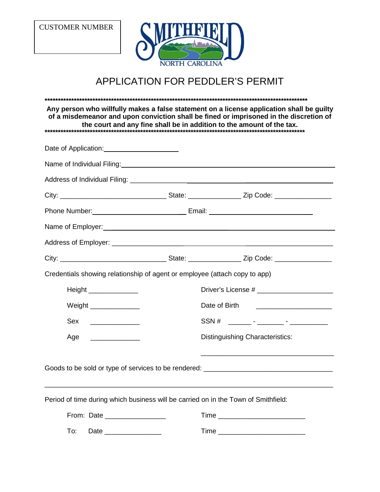CUSTOMER NUMBER



## APPLICATION FOR PEDDLER'S PERMIT

**\*\*\*\*\*\*\*\*\*\*\*\*\*\*\*\*\*\*\*\*\*\*\*\*\*\*\*\*\*\*\*\*\*\*\*\*\*\*\*\*\*\*\*\*\*\*\*\*\*\*\*\*\*\*\*\*\*\*\*\*\*\*\*\*\*\*\*\*\*\*\*\*\*\*\*\*\*\*\*\*\*\*\*\*\*\*\*\*\*\*\*\*\*\*\*\*\*\*\* Any person who willfully makes a false statement on a license application shall be guilty of a misdemeanor and upon conviction shall be fined or imprisoned in the discretion of the court and any fine shall be in addition to the amount of the tax. \*\*\*\*\*\*\*\*\*\*\*\*\*\*\*\*\*\*\*\*\*\*\*\*\*\*\*\*\*\*\*\*\*\*\*\*\*\*\*\*\*\*\*\*\*\*\*\*\*\*\*\*\*\*\*\*\*\*\*\*\*\*\*\*\*\*\*\*\*\*\*\*\*\*\*\*\*\*\*\*\*\*\*\*\*\*\*\*\*\*\*\*\*\*\*\*\*\*** Date of Application: Name of Individual Filing: Name of Individual Filing: Address of Individual Filing: \_\_\_\_\_\_\_\_\_\_\_\_\_\_\_ \_\_\_\_\_\_\_\_\_\_\_\_\_\_\_\_\_\_\_\_\_\_\_ City: \_\_\_\_\_\_\_\_\_\_\_\_\_\_\_\_\_\_\_\_\_\_\_\_\_\_\_\_ State: \_\_\_\_\_\_\_\_\_\_\_\_\_\_ Zip Code: \_\_\_\_\_\_\_\_\_\_\_\_\_\_\_ Phone Number: \_\_ Email: Name of Employer: \_\_\_\_\_\_\_\_\_\_\_\_\_\_\_\_\_\_\_\_\_\_\_\_\_\_\_\_\_\_\_ Address of Employer: \_\_\_\_\_\_\_\_\_\_\_\_\_\_\_\_\_\_\_ \_\_\_\_\_\_\_\_\_\_\_\_\_\_\_\_\_\_\_\_\_\_\_ City: \_\_\_\_\_\_\_\_\_\_\_\_\_\_\_\_\_\_\_\_\_\_\_\_\_\_\_\_ State: \_\_\_\_\_\_\_\_\_\_\_\_\_\_ Zip Code: \_\_\_\_\_\_\_\_\_\_\_\_\_\_\_ Credentials showing relationship of agent or employee (attach copy to app) Height \_\_\_\_\_\_\_\_\_\_\_\_\_\_\_\_\_\_\_\_\_\_\_\_\_\_\_\_\_Driver's License # \_\_\_\_\_\_\_\_\_\_\_\_\_\_\_\_\_\_\_\_\_\_\_\_\_ Weight \_\_\_\_\_\_\_\_\_\_\_\_\_ Date of Birth \_\_\_\_\_\_\_\_\_\_\_\_\_\_\_\_\_\_\_\_ Sex \_\_\_\_\_\_\_\_\_\_\_\_\_ SSN # \_\_\_\_\_\_ - \_\_\_\_\_\_\_ - \_\_\_\_\_\_\_\_\_\_ Age \_\_\_\_\_\_\_\_\_\_\_\_\_ Distinguishing Characteristics: \_\_\_\_\_\_\_\_\_\_\_\_\_\_\_\_\_\_\_\_\_\_\_\_\_\_\_\_\_\_\_\_\_\_\_ Goods to be sold or type of services to be rendered: \_\_\_\_\_\_\_\_\_\_\_\_\_\_\_\_\_\_\_\_\_\_\_\_\_\_\_\_ \_\_\_\_\_\_\_\_\_\_\_\_\_\_\_\_\_\_\_\_\_\_\_\_\_\_\_\_\_\_\_\_\_\_\_\_\_\_\_\_\_\_\_\_\_\_\_\_\_\_\_\_\_\_\_\_\_\_\_\_\_\_\_\_\_\_\_\_\_\_\_\_\_\_\_\_ Period of time during which business will be carried on in the Town of Smithfield: From: Date \_\_\_\_\_\_\_\_\_\_\_\_\_\_\_\_\_\_\_\_ Time \_\_\_\_\_\_\_\_\_\_\_\_\_\_\_\_\_\_\_\_\_\_\_\_\_ To: Date **Example 20 Time Time**